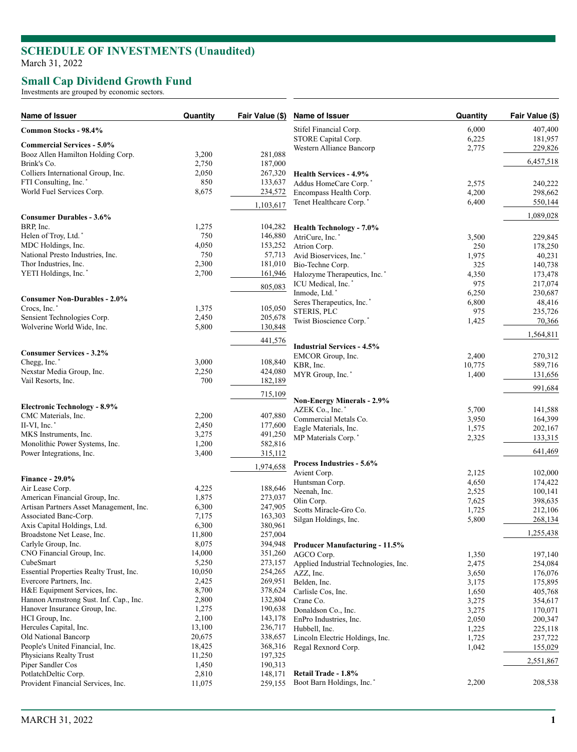### **SCHEDULE OF INVESTMENTS (Unaudited )** March 31, 2022

### **Small Cap Dividend Growth Fund**

Investments are grouped by economic sectors.

| Name of Issuer                                                     | Quantity        | Fair Value (\$)    | Name of Issuer                           | Quantity | Fair Value (\$) |
|--------------------------------------------------------------------|-----------------|--------------------|------------------------------------------|----------|-----------------|
| Common Stocks - 98.4%                                              |                 |                    | Stifel Financial Corp.                   | 6,000    | 407,400         |
|                                                                    |                 |                    | STORE Capital Corp.                      | 6,225    | 181,957         |
| <b>Commercial Services - 5.0%</b>                                  |                 |                    | Western Alliance Bancorp                 | 2,775    | 229,826         |
| Booz Allen Hamilton Holding Corp.                                  | 3,200           | 281,088            |                                          |          | 6,457,518       |
| Brink's Co.                                                        | 2,750<br>2,050  | 187,000            |                                          |          |                 |
| Colliers International Group, Inc.<br>FTI Consulting, Inc.*        | 850             | 267,320<br>133,637 | <b>Health Services - 4.9%</b>            |          |                 |
| World Fuel Services Corp.                                          | 8,675           | 234,572            | Addus HomeCare Corp.*                    | 2,575    | 240,222         |
|                                                                    |                 |                    | Encompass Health Corp.                   | 4,200    | 298,662         |
|                                                                    |                 | 1,103,617          | Tenet Healthcare Corp.*                  | 6,400    | 550,144         |
| <b>Consumer Durables - 3.6%</b>                                    |                 |                    |                                          |          | 1,089,028       |
| BRP, Inc.                                                          | 1,275           | 104,282            | <b>Health Technology - 7.0%</b>          |          |                 |
| Helen of Troy, Ltd.*                                               | 750             | 146,880            | AtriCure, Inc.*                          | 3,500    | 229,845         |
| MDC Holdings, Inc.                                                 | 4,050           | 153,252            | Atrion Corp.                             | 250      | 178,250         |
| National Presto Industries, Inc.                                   | 750             | 57,713             | Avid Bioservices, Inc. <sup>*</sup>      | 1,975    | 40,231          |
| Thor Industries, Inc.                                              | 2,300           | 181,010            | Bio-Techne Corp.                         | 325      | 140,738         |
| YETI Holdings, Inc.*                                               | 2,700           | 161,946            | Halozyme Therapeutics, Inc. <sup>*</sup> | 4,350    | 173,478         |
|                                                                    |                 | 805,083            | ICU Medical, Inc.*                       | 975      | 217,074         |
|                                                                    |                 |                    | Inmode, Ltd.*                            | 6,250    | 230,687         |
| <b>Consumer Non-Durables - 2.0%</b>                                |                 |                    | Seres Therapeutics, Inc.*                | 6,800    | 48,416          |
| Crocs, Inc.*                                                       | 1,375           | 105,050            | STERIS, PLC                              | 975      | 235,726         |
| Sensient Technologies Corp.                                        | 2,450           | 205,678            | Twist Bioscience Corp.*                  | 1,425    | 70,366          |
| Wolverine World Wide, Inc.                                         | 5,800           | 130,848            |                                          |          | 1,564,811       |
|                                                                    |                 | 441,576            | <b>Industrial Services - 4.5%</b>        |          |                 |
| <b>Consumer Services - 3.2%</b>                                    |                 |                    | EMCOR Group, Inc.                        | 2,400    | 270,312         |
| Chegg, Inc.*                                                       | 3,000           | 108,840            | KBR, Inc.                                | 10,775   | 589,716         |
| Nexstar Media Group, Inc.                                          | 2,250           | 424,080            | MYR Group, Inc.*                         | 1,400    | 131,656         |
| Vail Resorts, Inc.                                                 | 700             | 182,189            |                                          |          |                 |
|                                                                    |                 | 715,109            |                                          |          | 991,684         |
| <b>Electronic Technology - 8.9%</b>                                |                 |                    | <b>Non-Energy Minerals - 2.9%</b>        |          |                 |
| CMC Materials, Inc.                                                | 2,200           | 407,880            | AZEK Co., Inc. <sup>*</sup>              | 5,700    | 141,588         |
| II-VI, Inc.*                                                       | 2,450           | 177,600            | Commercial Metals Co.                    | 3,950    | 164,399         |
| MKS Instruments, Inc.                                              | 3,275           | 491,250            | Eagle Materials, Inc.                    | 1,575    | 202,167         |
| Monolithic Power Systems, Inc.                                     | 1,200           | 582,816            | MP Materials Corp.'                      | 2,325    | 133,315         |
| Power Integrations, Inc.                                           | 3,400           | 315,112            |                                          |          | 641,469         |
|                                                                    |                 | 1,974,658          | Process Industries - 5.6%                |          |                 |
|                                                                    |                 |                    | Avient Corp.                             | 2,125    | 102,000         |
| <b>Finance - 29.0%</b>                                             |                 |                    | Huntsman Corp.                           | 4,650    | 174,422         |
| Air Lease Corp.                                                    | 4,225           | 188,646            | Neenah, Inc.                             | 2,525    | 100,141         |
| American Financial Group, Inc.                                     | 1,875           | 273,037            | Olin Corp.                               | 7,625    | 398,635         |
| Artisan Partners Asset Management, Inc.                            | 6,300           | 247,905            | Scotts Miracle-Gro Co.                   | 1,725    | 212,106         |
| Associated Banc-Corp.                                              | 7,175           | 163,303            | Silgan Holdings, Inc.                    | 5,800    | 268,134         |
| Axis Capital Holdings, Ltd.                                        | 6,300           | 380,961            |                                          |          | 1,255,438       |
| Broadstone Net Lease, Inc.                                         | 11,800          | 257,004            |                                          |          |                 |
| Carlyle Group, Inc.                                                | 8,075           | 394,948            | <b>Producer Manufacturing - 11.5%</b>    |          |                 |
| CNO Financial Group, Inc.                                          | 14,000          | 351,260            | AGCO Corp.                               | 1,350    | 197,140         |
| CubeSmart                                                          | 5,250           | 273,157            | Applied Industrial Technologies, Inc.    | 2,475    | 254,084         |
| Essential Properties Realty Trust, Inc.<br>Evercore Partners, Inc. | 10,050<br>2,425 | 254,265<br>269,951 | AZZ, Inc.                                | 3,650    | 176,076         |
| H&E Equipment Services, Inc.                                       | 8,700           | 378,624            | Belden, Inc.                             | 3,175    | 175,895         |
| Hannon Armstrong Sust. Inf. Cap., Inc.                             | 2,800           | 132,804            | Carlisle Cos, Inc.                       | 1,650    | 405,768         |
| Hanover Insurance Group, Inc.                                      | 1,275           | 190,638            | Crane Co.                                | 3,275    | 354,617         |
| HCI Group, Inc.                                                    | 2,100           | 143,178            | Donaldson Co., Inc.                      | 3,275    | 170,071         |
| Hercules Capital, Inc.                                             | 13,100          | 236,717            | EnPro Industries, Inc.                   | 2,050    | 200,347         |
| Old National Bancorp                                               | 20,675          | 338,657            | Hubbell, Inc.                            | 1,225    | 225,118         |
| People's United Financial, Inc.                                    | 18,425          | 368,316            | Lincoln Electric Holdings, Inc.          | 1,725    | 237,722         |
| Physicians Realty Trust                                            | 11,250          | 197,325            | Regal Rexnord Corp.                      | 1,042    | 155,029         |
| Piper Sandler Cos                                                  | 1,450           | 190,313            |                                          |          | 2,551,867       |
| PotlatchDeltic Corp.                                               | 2,810           | 148,171            | Retail Trade - 1.8%                      |          |                 |
| Provident Financial Services, Inc.                                 | 11,075          | 259,155            | Boot Barn Holdings, Inc.                 | 2,200    | 208,538         |
|                                                                    |                 |                    |                                          |          |                 |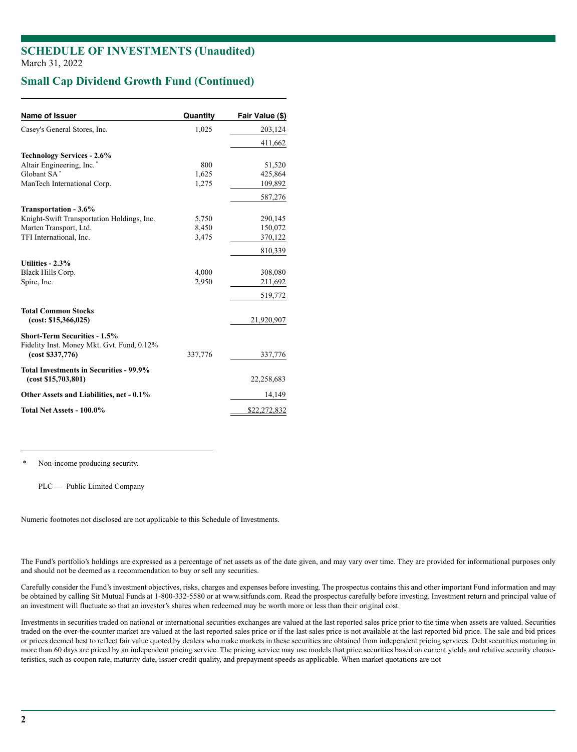### **SCHEDULE OF INVESTMENTS (Unaudited)** March 31, 2022

## **Small Cap Dividend Growth Fund (Continued)**

| <b>Name of Issuer</b>                                                             | Quantity | Fair Value (\$) |
|-----------------------------------------------------------------------------------|----------|-----------------|
| Casey's General Stores, Inc.                                                      | 1,025    | 203,124         |
|                                                                                   |          | 411,662         |
| <b>Technology Services - 2.6%</b>                                                 |          |                 |
| Altair Engineering, Inc.*                                                         | 800      | 51,520          |
| Globant SA*                                                                       | 1,625    | 425,864         |
| ManTech International Corp.                                                       | 1,275    | 109,892         |
|                                                                                   |          | 587,276         |
| Transportation - 3.6%                                                             |          |                 |
| Knight-Swift Transportation Holdings, Inc.                                        | 5,750    | 290,145         |
| Marten Transport, Ltd.                                                            | 8,450    | 150,072         |
| TFI International, Inc.                                                           | 3,475    | 370,122         |
|                                                                                   |          | 810,339         |
| Utilities - 2.3%                                                                  |          |                 |
| Black Hills Corp.                                                                 | 4,000    | 308,080         |
| Spire, Inc.                                                                       | 2,950    | 211,692         |
|                                                                                   |          | 519,772         |
| <b>Total Common Stocks</b>                                                        |          |                 |
| (cost: \$15,366,025)                                                              |          | 21,920,907      |
| <b>Short-Term Securities - 1.5%</b><br>Fidelity Inst. Money Mkt. Gvt. Fund, 0.12% |          |                 |
| (cost \$337,776)                                                                  | 337,776  | 337,776         |
| Total Investments in Securities - 99.9%<br>(cost \$15,703,801)                    |          | 22,258,683      |
| Other Assets and Liabilities, net - 0.1%                                          | 14,149   |                 |
| Total Net Assets - 100.0%                                                         |          | \$22,272,832    |

Non-income producing security.

PLC — Public Limited Company

Numeric footnotes not disclosed are not applicable to this Schedule of Investments.

The Fund's portfolio's holdings are expressed as a percentage of net assets as of the date given, and may vary over time. They are provided for informational purposes only and should not be deemed as a recommendation to buy or sell any securities.

Carefully consider the Fund's investment objectives, risks, charges and expenses before investing. The prospectus contains this and other important Fund information and may be obtained by calling Sit Mutual Funds at 1-800-332-5580 or at www.sitfunds.com. Read the prospectus carefully before investing. Investment return and principal value of an investment will fluctuate so that an investor's shares when redeemed may be worth more or less than their original cost.

Investments in securities traded on national or international securities exchanges are valued at the last reported sales price prior to the time when assets are valued. Securities traded on the over-the-counter market are valued at the last reported sales price or if the last sales price is not available at the last reported bid price. The sale and bid prices or prices deemed best to reflect fair value quoted by dealers who make markets in these securities are obtained from independent pricing services. Debt securities maturing in more than 60 days are priced by an independent pricing service. The pricing service may use models that price securities based on current yields and relative security characteristics, such as coupon rate, maturity date, issuer credit quality, and prepayment speeds as applicable. When market quotations are not